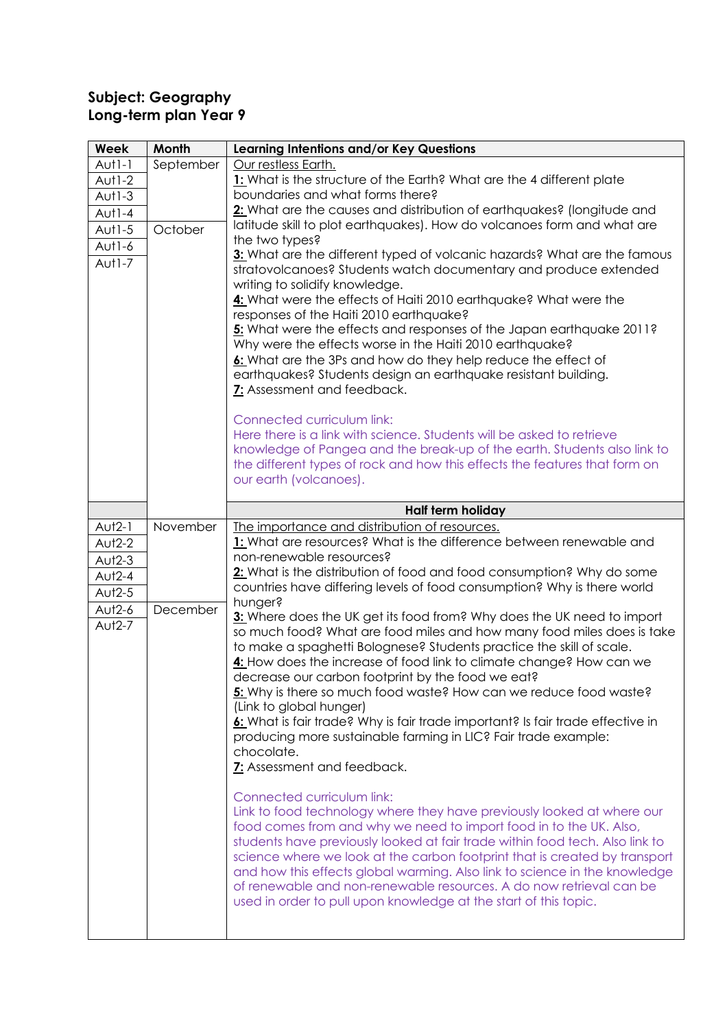## **Subject: Geography Long-term plan Year 9**

| <b>Week</b> | Month     | Learning Intentions and/or Key Questions                                                                                                           |
|-------------|-----------|----------------------------------------------------------------------------------------------------------------------------------------------------|
| $Aut1-1$    | September | Our restless Earth.                                                                                                                                |
| Aut1-2      |           | 1: What is the structure of the Earth? What are the 4 different plate                                                                              |
| $Aut1-3$    |           | boundaries and what forms there?                                                                                                                   |
| $A U 1 - 4$ |           | 2: What are the causes and distribution of earthquakes? (longitude and                                                                             |
| Aut1-5      | October   | latitude skill to plot earthquakes). How do volcanoes form and what are<br>the two types?                                                          |
| Aut1-6      |           | 3: What are the different typed of volcanic hazards? What are the famous                                                                           |
| $Aut1-7$    |           | stratovolcanoes? Students watch documentary and produce extended                                                                                   |
|             |           | writing to solidify knowledge.                                                                                                                     |
|             |           | 4: What were the effects of Haiti 2010 earthquake? What were the                                                                                   |
|             |           | responses of the Haiti 2010 earthquake?                                                                                                            |
|             |           | 5: What were the effects and responses of the Japan earthquake 2011?                                                                               |
|             |           | Why were the effects worse in the Haiti 2010 earthquake?<br>6: What are the 3Ps and how do they help reduce the effect of                          |
|             |           | earthquakes? Students design an earthquake resistant building.                                                                                     |
|             |           | 7: Assessment and feedback.                                                                                                                        |
|             |           |                                                                                                                                                    |
|             |           | Connected curriculum link:                                                                                                                         |
|             |           | Here there is a link with science. Students will be asked to retrieve                                                                              |
|             |           | knowledge of Pangea and the break-up of the earth. Students also link to                                                                           |
|             |           | the different types of rock and how this effects the features that form on<br>our earth (volcanoes).                                               |
|             |           |                                                                                                                                                    |
|             |           | Half term holiday                                                                                                                                  |
| $Aut2-1$    | November  | The importance and distribution of resources.                                                                                                      |
| $Aut2-2$    |           | 1: What are resources? What is the difference between renewable and                                                                                |
| $Aut2-3$    |           | non-renewable resources?                                                                                                                           |
| $Aut2-4$    |           | 2: What is the distribution of food and food consumption? Why do some                                                                              |
| $Aut2-5$    |           | countries have differing levels of food consumption? Why is there world<br>hunger?                                                                 |
| Aut2-6      | December  | 3: Where does the UK get its food from? Why does the UK need to import                                                                             |
| Aut2-7      |           | so much food? What are food miles and how many food miles does is take                                                                             |
|             |           | to make a spaghetti Bolognese? Students practice the skill of scale.                                                                               |
|             |           | 4: How does the increase of food link to climate change? How can we                                                                                |
|             |           | decrease our carbon footprint by the food we eat?                                                                                                  |
|             |           | 5: Why is there so much food waste? How can we reduce food waste?                                                                                  |
|             |           | (Link to global hunger)                                                                                                                            |
|             |           | 6: What is fair trade? Why is fair trade important? Is fair trade effective in<br>producing more sustainable farming in LIC? Fair trade example:   |
|             |           | chocolate.                                                                                                                                         |
|             |           | 7: Assessment and feedback.                                                                                                                        |
|             |           |                                                                                                                                                    |
|             |           | Connected curriculum link:                                                                                                                         |
|             |           | Link to food technology where they have previously looked at where our                                                                             |
|             |           | food comes from and why we need to import food in to the UK. Also,<br>students have previously looked at fair trade within food tech. Also link to |
|             |           | science where we look at the carbon footprint that is created by transport                                                                         |
|             |           | and how this effects global warming. Also link to science in the knowledge                                                                         |
|             |           | of renewable and non-renewable resources. A do now retrieval can be                                                                                |
|             |           | used in order to pull upon knowledge at the start of this topic.                                                                                   |
|             |           |                                                                                                                                                    |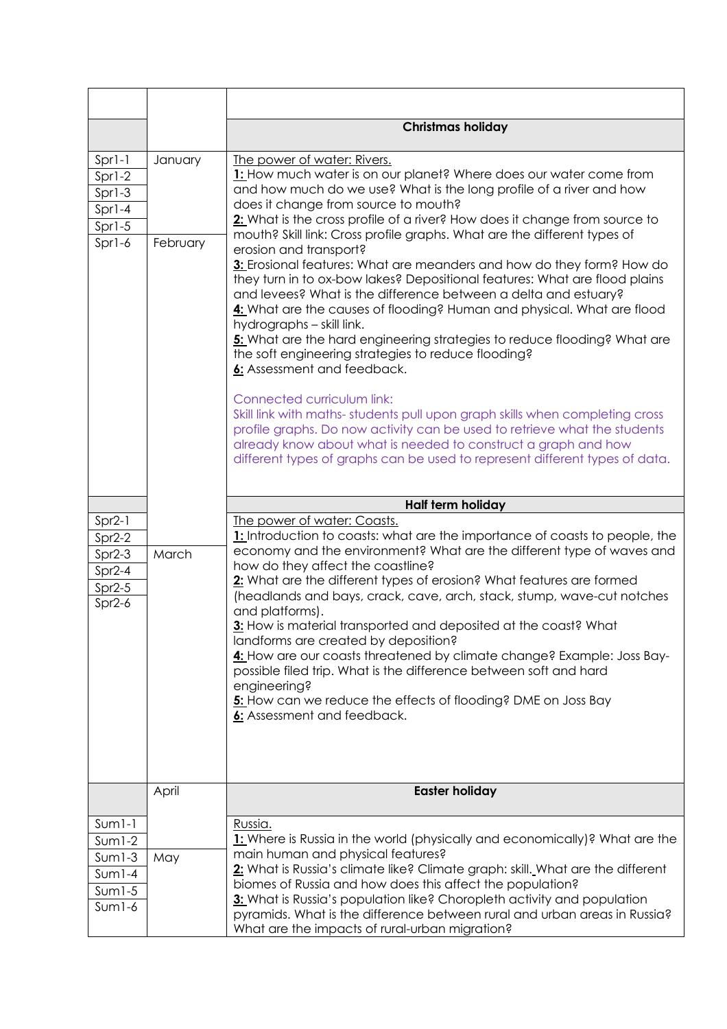|                                                                      |                     | <b>Christmas holiday</b>                                                                                                                                                                                                                                                                                                                                                                                                                                                                                                                                                                                                                                                                                                                                                                                                                                                                                                                                                                                                                                                                                                                                                                                                                           |
|----------------------------------------------------------------------|---------------------|----------------------------------------------------------------------------------------------------------------------------------------------------------------------------------------------------------------------------------------------------------------------------------------------------------------------------------------------------------------------------------------------------------------------------------------------------------------------------------------------------------------------------------------------------------------------------------------------------------------------------------------------------------------------------------------------------------------------------------------------------------------------------------------------------------------------------------------------------------------------------------------------------------------------------------------------------------------------------------------------------------------------------------------------------------------------------------------------------------------------------------------------------------------------------------------------------------------------------------------------------|
| Spr1-1<br>Spr1-2<br>$Spr1-3$<br>Spr1-4<br>$Spr1-5$<br>Spr1-6         | January<br>February | The power of water: Rivers.<br>1: How much water is on our planet? Where does our water come from<br>and how much do we use? What is the long profile of a river and how<br>does it change from source to mouth?<br>2: What is the cross profile of a river? How does it change from source to<br>mouth? Skill link: Cross profile graphs. What are the different types of<br>erosion and transport?<br>3: Erosional features: What are meanders and how do they form? How do<br>they turn in to ox-bow lakes? Depositional features: What are flood plains<br>and levees? What is the difference between a delta and estuary?<br>4: What are the causes of flooding? Human and physical. What are flood<br>hydrographs - skill link.<br>5: What are the hard engineering strategies to reduce flooding? What are<br>the soft engineering strategies to reduce flooding?<br>6: Assessment and feedback.<br>Connected curriculum link:<br>Skill link with maths-students pull upon graph skills when completing cross<br>profile graphs. Do now activity can be used to retrieve what the students<br>already know about what is needed to construct a graph and how<br>different types of graphs can be used to represent different types of data. |
|                                                                      |                     | Half term holiday                                                                                                                                                                                                                                                                                                                                                                                                                                                                                                                                                                                                                                                                                                                                                                                                                                                                                                                                                                                                                                                                                                                                                                                                                                  |
| $Spr2-1$                                                             |                     | The power of water: Coasts.                                                                                                                                                                                                                                                                                                                                                                                                                                                                                                                                                                                                                                                                                                                                                                                                                                                                                                                                                                                                                                                                                                                                                                                                                        |
| $Spr2-2$<br>$Spr2-3$<br>$Spr2-4$<br>$Spr2-5$<br>$Spr2-6$             | March               | 1: Introduction to coasts: what are the importance of coasts to people, the<br>economy and the environment? What are the different type of waves and<br>how do they affect the coastline?<br>2: What are the different types of erosion? What features are formed<br>(headlands and bays, crack, cave, arch, stack, stump, wave-cut notches<br>and platforms).<br>3: How is material transported and deposited at the coast? What<br>landforms are created by deposition?<br>4: How are our coasts threatened by climate change? Example: Joss Bay-<br>possible filed trip. What is the difference between soft and hard<br>engineering?<br>5: How can we reduce the effects of flooding? DME on Joss Bay<br>6: Assessment and feedback.                                                                                                                                                                                                                                                                                                                                                                                                                                                                                                           |
|                                                                      | April               | <b>Easter holiday</b>                                                                                                                                                                                                                                                                                                                                                                                                                                                                                                                                                                                                                                                                                                                                                                                                                                                                                                                                                                                                                                                                                                                                                                                                                              |
| $Sum1-1$<br>$Sum1-2$<br>$Sum1-3$<br>$Sum1-4$<br>$Sum1-5$<br>$Sum1-6$ | May                 | Russia.<br>1: Where is Russia in the world (physically and economically)? What are the<br>main human and physical features?<br>2: What is Russia's climate like? Climate graph: skill. What are the different<br>biomes of Russia and how does this affect the population?<br>3: What is Russia's population like? Choropleth activity and population<br>pyramids. What is the difference between rural and urban areas in Russia?                                                                                                                                                                                                                                                                                                                                                                                                                                                                                                                                                                                                                                                                                                                                                                                                                 |
|                                                                      |                     | What are the impacts of rural-urban migration?                                                                                                                                                                                                                                                                                                                                                                                                                                                                                                                                                                                                                                                                                                                                                                                                                                                                                                                                                                                                                                                                                                                                                                                                     |